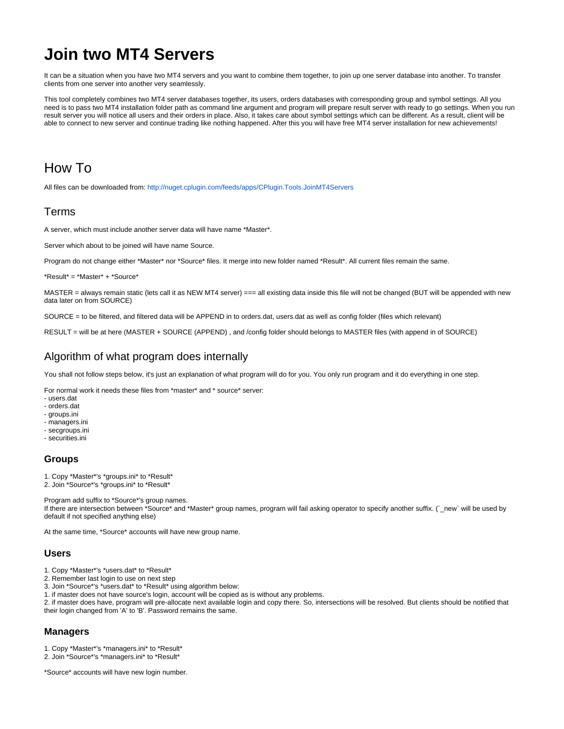# **Join two MT4 Servers**

It can be a situation when you have two MT4 servers and you want to combine them together, to join up one server database into another. To transfer clients from one server into another very seamlessly.

This tool completely combines two MT4 server databases together, its users, orders databases with corresponding group and symbol settings. All you need is to pass two MT4 installation folder path as command line argument and program will prepare result server with ready to go settings. When you run result server you will notice all users and their orders in place. Also, it takes care about symbol settings which can be different. As a result, client will be able to connect to new server and continue trading like nothing happened. After this you will have free MT4 server installation for new achievements!

## How To

All files can be downloaded from:<http://nuget.cplugin.com/feeds/apps/CPlugin.Tools.JoinMT4Servers>

## Terms

A server, which must include another server data will have name \*Master\*.

Server which about to be joined will have name Source.

Program do not change either \*Master\* nor \*Source\* files. It merge into new folder named \*Result\*. All current files remain the same.

\*Result\* = \*Master\* + \*Source\*

MASTER = always remain static (lets call it as NEW MT4 server) === all existing data inside this file will not be changed (BUT will be appended with new data later on from SOURCE)

SOURCE = to be filtered, and filtered data will be APPEND in to orders.dat, users.dat as well as config folder (files which relevant)

RESULT = will be at here (MASTER + SOURCE (APPEND) , and /config folder should belongs to MASTER files (with append in of SOURCE)

## Algorithm of what program does internally

You shall not follow steps below, it's just an explanation of what program will do for you. You only run program and it do everything in one step.

For normal work it needs these files from \*master\* and \* source\* server:

- users.dat
- orders.dat
- groups.ini
- managers.ini
- secgroups.ini - securities.ini
- 

#### **Groups**

- 1. Copy \*Master\*'s \*groups.ini\* to \*Result\*
- 2. Join \*Source\*'s \*groups.ini\* to \*Result\*

Program add suffix to \*Source\*'s group names. If there are intersection between \*Source\* and \*Master\* group names, program will fail asking operator to specify another suffix. (`\_new` will be used by default if not specified anything else)

At the same time, \*Source\* accounts will have new group name.

#### **Users**

- 1. Copy \*Master\*'s \*users.dat\* to \*Result\*
- 2. Remember last login to use on next step
- 3. Join \*Source\*'s \*users.dat\* to \*Result\* using algorithm below:
- 1. if master does not have source's login, account will be copied as is without any problems.

2. if master does have, program will pre-allocate next available login and copy there. So, intersections will be resolved. But clients should be notified that their login changed from 'A' to 'B'. Password remains the same.

#### **Managers**

1. Copy \*Master\*'s \*managers.ini\* to \*Result\*

2. Join \*Source\*'s \*managers.ini\* to \*Result\*

\*Source\* accounts will have new login number.